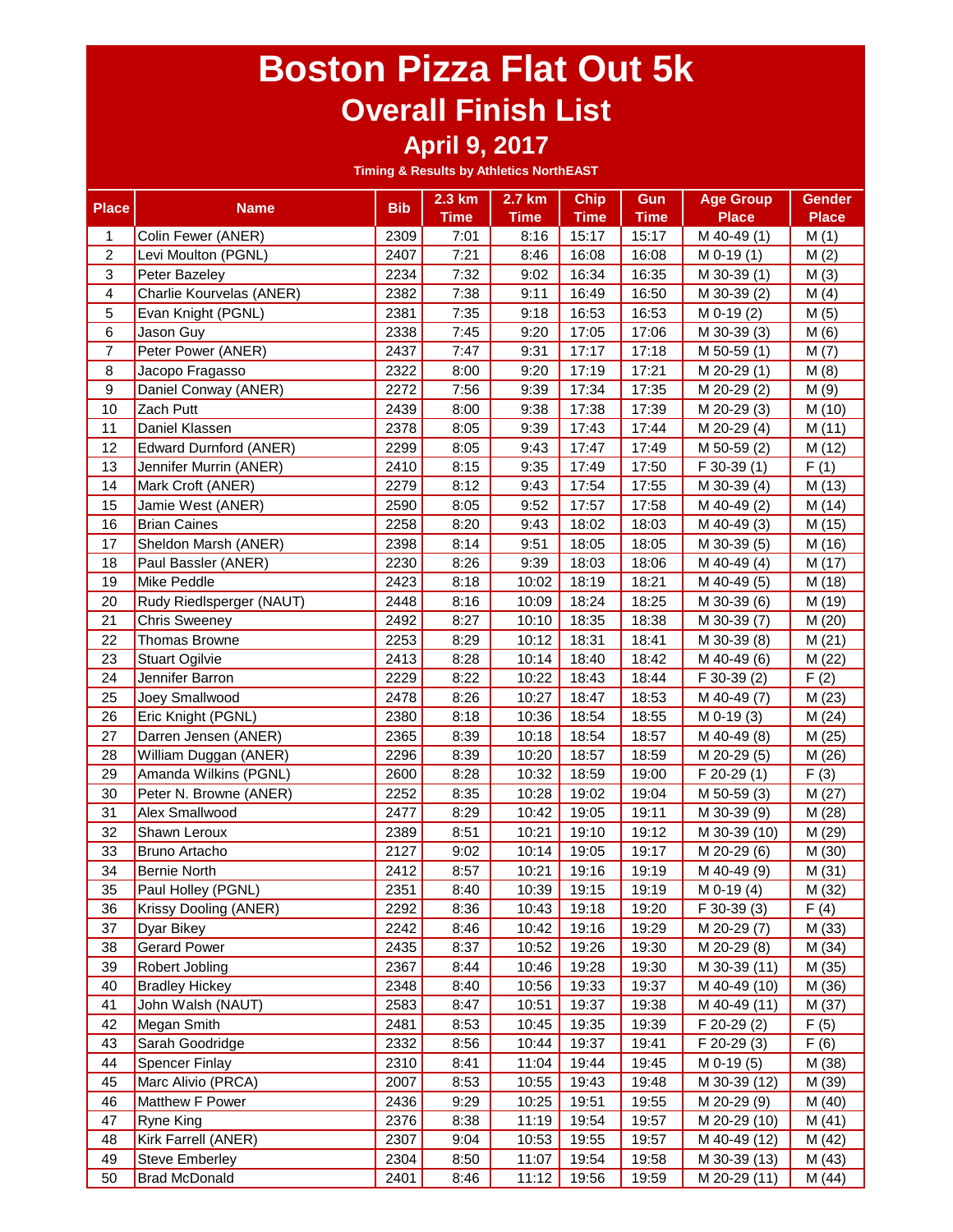#### **April 9, 2017**

| <b>Place</b>     | <b>Name</b>              | <b>Bib</b> | 2.3 km      | 2.7 km      | <b>Chip</b> | Gun         | <b>Age Group</b> | <b>Gender</b> |
|------------------|--------------------------|------------|-------------|-------------|-------------|-------------|------------------|---------------|
|                  |                          |            | <b>Time</b> | <b>Time</b> | <b>Time</b> | <b>Time</b> | <b>Place</b>     | <b>Place</b>  |
| 1                | Colin Fewer (ANER)       | 2309       | 7:01        | 8:16        | 15:17       | 15:17       | M 40-49 (1)      | M(1)          |
| $\overline{2}$   | Levi Moulton (PGNL)      | 2407       | 7:21        | 8:46        | 16:08       | 16:08       | $M$ 0-19 $(1)$   | M(2)          |
| 3                | Peter Bazeley            | 2234       | 7:32        | 9:02        | 16:34       | 16:35       | M 30-39 (1)      | M(3)          |
| 4                | Charlie Kourvelas (ANER) | 2382       | 7:38        | 9:11        | 16:49       | 16:50       | M 30-39 (2)      | M(4)          |
| 5                | Evan Knight (PGNL)       | 2381       | 7:35        | 9:18        | 16:53       | 16:53       | $M$ 0-19 $(2)$   | M(5)          |
| 6                | Jason Guy                | 2338       | 7:45        | 9:20        | 17:05       | 17:06       | M 30-39 (3)      | M(6)          |
| $\overline{7}$   | Peter Power (ANER)       | 2437       | 7:47        | 9:31        | 17:17       | 17:18       | M 50-59 (1)      | M(7)          |
| 8                | Jacopo Fragasso          | 2322       | 8:00        | 9:20        | 17:19       | 17:21       | M 20-29 (1)      | M(8)          |
| $\boldsymbol{9}$ | Daniel Conway (ANER)     | 2272       | 7:56        | 9:39        | 17:34       | 17:35       | M 20-29 (2)      | M(9)          |
| 10               | Zach Putt                | 2439       | 8:00        | 9:38        | 17:38       | 17:39       | M 20-29 (3)      | M (10)        |
| 11               | Daniel Klassen           | 2378       | 8:05        | 9:39        | 17:43       | 17:44       | M 20-29 (4)      | M(11)         |
| 12               | Edward Durnford (ANER)   | 2299       | 8:05        | 9:43        | 17:47       | 17:49       | M 50-59 (2)      | M (12)        |
| 13               | Jennifer Murrin (ANER)   | 2410       | 8:15        | 9:35        | 17:49       | 17:50       | $F$ 30-39 $(1)$  | F(1)          |
| 14               | Mark Croft (ANER)        | 2279       | 8:12        | 9:43        | 17:54       | 17:55       | M 30-39 (4)      | M (13)        |
| 15               | Jamie West (ANER)        | 2590       | 8:05        | 9:52        | 17:57       | 17:58       | M 40-49 (2)      | M (14)        |
| 16               | <b>Brian Caines</b>      | 2258       | 8:20        | 9:43        | 18:02       | 18:03       | M 40-49 (3)      | M (15)        |
| 17               | Sheldon Marsh (ANER)     | 2398       | 8:14        | 9:51        | 18:05       | 18:05       | M 30-39 (5)      | M (16)        |
| 18               | Paul Bassler (ANER)      | 2230       | 8:26        | 9:39        | 18:03       | 18:06       | M 40-49 (4)      | M (17)        |
| 19               | Mike Peddle              | 2423       | 8:18        | 10:02       | 18:19       | 18:21       | M 40-49 (5)      | M (18)        |
| 20               | Rudy Riedlsperger (NAUT) | 2448       | 8:16        | 10:09       | 18:24       | 18:25       | M 30-39 (6)      | M (19)        |
| 21               | <b>Chris Sweeney</b>     | 2492       | 8:27        | 10:10       | 18:35       | 18:38       | M 30-39 (7)      | M (20)        |
| 22               | <b>Thomas Browne</b>     | 2253       | 8:29        | 10:12       | 18:31       | 18:41       | M 30-39 (8)      | M(21)         |
| 23               | <b>Stuart Ogilvie</b>    | 2413       | 8:28        | 10:14       | 18:40       | 18:42       | M 40-49 (6)      | M (22)        |
| 24               | Jennifer Barron          | 2229       | 8:22        | 10:22       | 18:43       | 18:44       | F 30-39 (2)      | F(2)          |
| 25               | Joey Smallwood           | 2478       | 8:26        | 10:27       | 18:47       | 18:53       | M 40-49 (7)      | M(23)         |
| 26               | Eric Knight (PGNL)       | 2380       | 8:18        | 10:36       | 18:54       | 18:55       | $M$ 0-19 $(3)$   | M(24)         |
| 27               | Darren Jensen (ANER)     | 2365       | 8:39        | 10:18       | 18:54       | 18:57       | M 40-49 (8)      | M (25)        |
| 28               | William Duggan (ANER)    | 2296       | 8:39        | 10:20       | 18:57       | 18:59       | M 20-29 (5)      | M (26)        |
| 29               | Amanda Wilkins (PGNL)    | 2600       | 8:28        | 10:32       | 18:59       | 19:00       | F 20-29 (1)      | F(3)          |
| 30               | Peter N. Browne (ANER)   | 2252       | 8:35        | 10:28       | 19:02       | 19:04       | M 50-59 (3)      | M(27)         |
| 31               | Alex Smallwood           | 2477       | 8:29        | 10:42       | 19:05       | 19:11       | M 30-39 (9)      | M (28)        |
| 32               | Shawn Leroux             | 2389       | 8:51        | 10:21       | 19:10       | 19:12       | M 30-39 (10)     | M (29)        |
| 33               | <b>Bruno Artacho</b>     | 2127       | 9:02        | 10:14       | 19:05       | 19:17       | M 20-29 (6)      | M (30)        |
| 34               | <b>Bernie North</b>      | 2412       | 8:57        | 10:21       | 19:16       | 19:19       | M 40-49 (9)      | M(31)         |
| 35               | Paul Holley (PGNL)       | 2351       | 8:40        |             | 10:39 19:15 | 19:19       | M 0-19 (4)       | M (32)        |
| 36               | Krissy Dooling (ANER)    | 2292       | 8:36        | 10:43       | 19:18       | 19:20       | F 30-39 (3)      | F(4)          |
| 37               | Dyar Bikey               | 2242       | 8:46        | 10:42       | 19:16       | 19:29       | M 20-29 (7)      | M (33)        |
| 38               | <b>Gerard Power</b>      | 2435       | 8:37        | 10:52       | 19:26       | 19:30       | M 20-29 (8)      | M (34)        |
| 39               | Robert Jobling           | 2367       | 8:44        | 10:46       | 19:28       | 19:30       | M 30-39 (11)     | M (35)        |
| 40               | <b>Bradley Hickey</b>    | 2348       | 8:40        | 10:56       | 19:33       | 19:37       | M 40-49 (10)     | M (36)        |
| 41               | John Walsh (NAUT)        | 2583       | 8:47        | 10:51       | 19:37       | 19:38       | M 40-49 (11)     | M (37)        |
| 42               | Megan Smith              | 2481       | 8:53        | 10:45       | 19:35       | 19:39       | F 20-29 (2)      | F(5)          |
| 43               | Sarah Goodridge          | 2332       | 8:56        | 10:44       | 19:37       | 19:41       | F 20-29 (3)      | F(6)          |
| 44               | <b>Spencer Finlay</b>    | 2310       | 8:41        | 11:04       | 19:44       | 19:45       | $M$ 0-19 $(5)$   | M (38)        |
| 45               | Marc Alivio (PRCA)       | 2007       | 8:53        | 10:55       | 19:43       | 19:48       | M 30-39 (12)     | M (39)        |
| 46               | Matthew F Power          | 2436       | 9:29        | 10:25       | 19:51       | 19:55       | M 20-29 (9)      | M (40)        |
| 47               | <b>Ryne King</b>         | 2376       | 8:38        | 11:19       | 19:54       | 19:57       | M 20-29 (10)     | M(41)         |
| 48               | Kirk Farrell (ANER)      | 2307       | 9:04        | 10:53       | 19:55       | 19:57       | M 40-49 (12)     | M (42)        |
| 49               | <b>Steve Emberley</b>    | 2304       | 8:50        | 11:07       | 19:54       | 19:58       | M 30-39 (13)     | M (43)        |
| 50               | <b>Brad McDonald</b>     | 2401       | 8:46        | 11:12       | 19:56       | 19:59       | M 20-29 (11)     | M (44)        |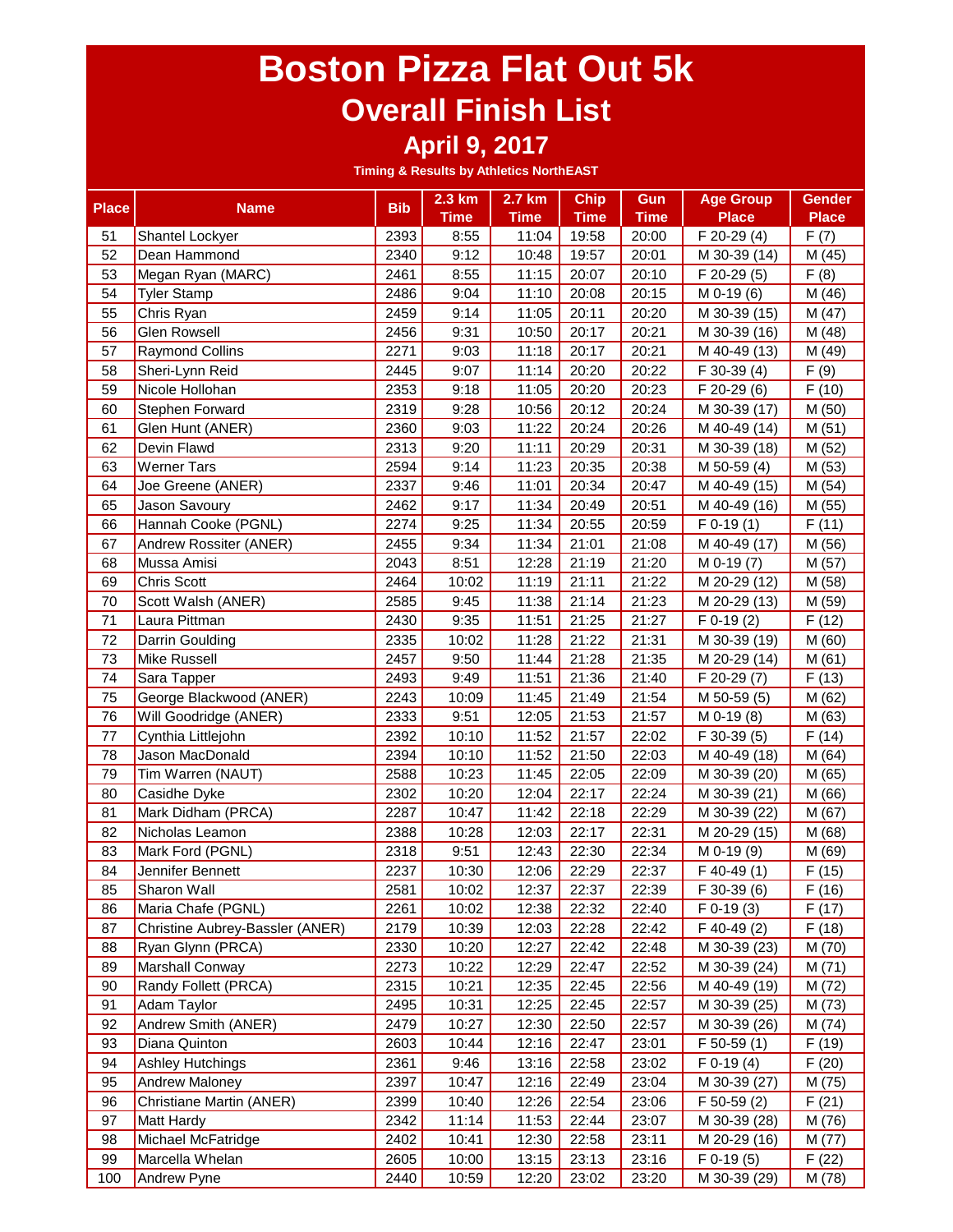#### **April 9, 2017**

| <b>Place</b> | <b>Name</b>                     | <b>Bib</b> | 2.3 km      | 2.7 km      | <b>Chip</b>   | Gun           | <b>Age Group</b> | <b>Gender</b> |
|--------------|---------------------------------|------------|-------------|-------------|---------------|---------------|------------------|---------------|
|              |                                 |            | <b>Time</b> | <b>Time</b> | <b>Time</b>   | <b>Time</b>   | <b>Place</b>     | <b>Place</b>  |
| 51           | Shantel Lockyer                 | 2393       | 8:55        | 11:04       | 19:58         | 20:00         | $F 20-29(4)$     | F(7)          |
| 52           | Dean Hammond                    | 2340       | 9:12        | 10:48       | 19:57         | 20:01         | M 30-39 (14)     | M (45)        |
| 53           | Megan Ryan (MARC)               | 2461       | 8:55        | 11:15       | 20:07         | 20:10         | F 20-29 (5)      | F(8)          |
| 54           | <b>Tyler Stamp</b>              | 2486       | 9:04        | 11:10       | 20:08         | 20:15         | $M$ 0-19 $(6)$   | M (46)        |
| 55           | Chris Ryan                      | 2459       | 9:14        | 11:05       | 20:11         | 20:20         | M 30-39 (15)     | M (47)        |
| 56           | <b>Glen Rowsell</b>             | 2456       | 9:31        | 10:50       | 20:17         | 20:21         | M 30-39 (16)     | M (48)        |
| 57           | <b>Raymond Collins</b>          | 2271       | 9:03        | 11:18       | 20:17         | 20:21         | M 40-49 (13)     | M (49)        |
| 58           | Sheri-Lynn Reid                 | 2445       | 9:07        | 11:14       | 20:20         | 20:22         | $F$ 30-39 (4)    | F(9)          |
| 59           | Nicole Hollohan                 | 2353       | 9:18        | 11:05       | 20:20         | 20:23         | F 20-29 (6)      | F(10)         |
| 60           | Stephen Forward                 | 2319       | 9:28        | 10:56       | 20:12         | 20:24         | M 30-39 (17)     | M (50)        |
| 61           | Glen Hunt (ANER)                | 2360       | 9:03        | 11:22       | 20:24         | 20:26         | M 40-49 (14)     | M(51)         |
| 62           | Devin Flawd                     | 2313       | 9:20        | 11:11       | 20:29         | 20:31         | M 30-39 (18)     | M (52)        |
| 63           | <b>Werner Tars</b>              | 2594       | 9:14        | 11:23       | 20:35         | 20:38         | M 50-59 (4)      | M (53)        |
| 64           | Joe Greene (ANER)               | 2337       | 9:46        | 11:01       | 20:34         | 20:47         | M 40-49 (15)     | M (54)        |
| 65           | Jason Savoury                   | 2462       | 9:17        | 11:34       | 20:49         | 20:51         | M 40-49 (16)     | M (55)        |
| 66           | Hannah Cooke (PGNL)             | 2274       | 9:25        | 11:34       | 20:55         | 20:59         | $F 0-19(1)$      | F(11)         |
| 67           | Andrew Rossiter (ANER)          | 2455       | 9:34        | 11:34       | 21:01         | 21:08         | M 40-49 (17)     | M (56)        |
| 68           | Mussa Amisi                     | 2043       | 8:51        | 12:28       | 21:19         | 21:20         | M 0-19 (7)       | M (57)        |
| 69           | Chris Scott                     | 2464       | 10:02       | 11:19       | 21:11         | 21:22         | M 20-29 (12)     | M (58)        |
| 70           | Scott Walsh (ANER)              | 2585       | 9:45        | 11:38       | 21:14         | 21:23         | M 20-29 (13)     | M (59)        |
| 71           | Laura Pittman                   | 2430       | 9:35        | 11:51       | 21:25         | 21:27         | $F$ 0-19 $(2)$   | F(12)         |
| 72           | Darrin Goulding                 | 2335       | 10:02       | 11:28       | 21:22         | 21:31         | M 30-39 (19)     | M (60)        |
| 73           | Mike Russell                    | 2457       | 9:50        | 11:44       | 21:28         | 21:35         | M 20-29 (14)     | M(61)         |
| 74           | Sara Tapper                     | 2493       | 9:49        | 11:51       | 21:36         | 21:40         | F 20-29 (7)      | F(13)         |
| 75           | George Blackwood (ANER)         | 2243       | 10:09       | 11:45       | 21:49         | 21:54         | M 50-59 (5)      | M (62)        |
| 76           | Will Goodridge (ANER)           | 2333       | 9:51        | 12:05       | 21:53         | 21:57         | $M$ 0-19 $(8)$   | M (63)        |
| 77           | Cynthia Littlejohn              | 2392       | 10:10       | 11:52       | 21:57         | 22:02         | F 30-39 (5)      | F(14)         |
| 78           | Jason MacDonald                 | 2394       | 10:10       | 11:52       | 21:50         | 22:03         | M 40-49 (18)     | M (64)        |
| 79           | Tim Warren (NAUT)               | 2588       | 10:23       | 11:45       | 22:05         | 22:09         | M 30-39 (20)     | M (65)        |
| 80           | Casidhe Dyke                    | 2302       | 10:20       | 12:04       | 22:17         | 22:24         | M 30-39 (21)     | M (66)        |
| 81           | Mark Didham (PRCA)              | 2287       | 10:47       | 11:42       | 22:18         | 22:29         | M 30-39 (22)     | M (67)        |
| 82           | Nicholas Leamon                 | 2388       | 10:28       | 12:03       | 22:17         | 22:31         | M 20-29 (15)     | M (68)        |
| 83           | Mark Ford (PGNL)                | 2318       | 9:51        | 12:43       | 22:30         | 22:34         | M 0-19 (9)       | M (69)        |
| 84           | Jennifer Bennett                | 2237       | 10:30       | 12:06       | 22:29         | 22:37         | $F$ 40-49 $(1)$  | F(15)         |
| 85           | Sharon Wall                     | 2581       | 10:02       |             | $12:37$ 22:37 | $\vert$ 22:39 | F 30-39 (6)      | F(16)         |
| 86           | Maria Chafe (PGNL)              | 2261       | 10:02       | 12:38       | 22:32         | 22:40         | $F$ 0-19 $(3)$   | F(17)         |
| 87           | Christine Aubrey-Bassler (ANER) | 2179       | 10:39       | 12:03       | 22:28         | 22:42         | F 40-49 (2)      | F(18)         |
| 88           | Ryan Glynn (PRCA)               | 2330       | 10:20       | 12:27       | 22:42         | 22:48         | M 30-39 (23)     | M (70)        |
| 89           | <b>Marshall Conway</b>          | 2273       | 10:22       | 12:29       | 22:47         | 22:52         | M 30-39 (24)     | M (71)        |
| 90           | Randy Follett (PRCA)            | 2315       | 10:21       | 12:35       | 22:45         | 22:56         | M 40-49 (19)     | M (72)        |
| 91           | Adam Taylor                     | 2495       | 10:31       | 12:25       | 22:45         | 22:57         | M 30-39 (25)     | M (73)        |
| 92           | Andrew Smith (ANER)             | 2479       | 10:27       | 12:30       | 22:50         | 22:57         | M 30-39 (26)     | M (74)        |
| 93           | Diana Quinton                   | 2603       | 10:44       | 12:16       | 22:47         | 23:01         | $F$ 50-59 $(1)$  | F(19)         |
| 94           | <b>Ashley Hutchings</b>         | 2361       | 9:46        | 13:16       | 22:58         | 23:02         | $F$ 0-19 (4)     | F(20)         |
| 95           | <b>Andrew Maloney</b>           | 2397       | 10:47       | 12:16       | 22:49         | 23:04         | M 30-39 (27)     | M (75)        |
| 96           | Christiane Martin (ANER)        | 2399       | 10:40       | 12:26       | 22:54         | 23:06         | F 50-59 (2)      | F(21)         |
| 97           | <b>Matt Hardy</b>               | 2342       | 11:14       | 11:53       | 22:44         | 23:07         | M 30-39 (28)     | M (76)        |
| 98           | Michael McFatridge              | 2402       | 10:41       | 12:30       | 22:58         | 23:11         | M 20-29 (16)     | M (77)        |
| 99           | Marcella Whelan                 | 2605       | 10:00       | 13:15       | 23:13         | 23:16         | $F$ 0-19 $(5)$   | F(22)         |
| 100          | Andrew Pyne                     | 2440       | 10:59       | 12:20       | 23:02         | 23:20         | M 30-39 (29)     | M (78)        |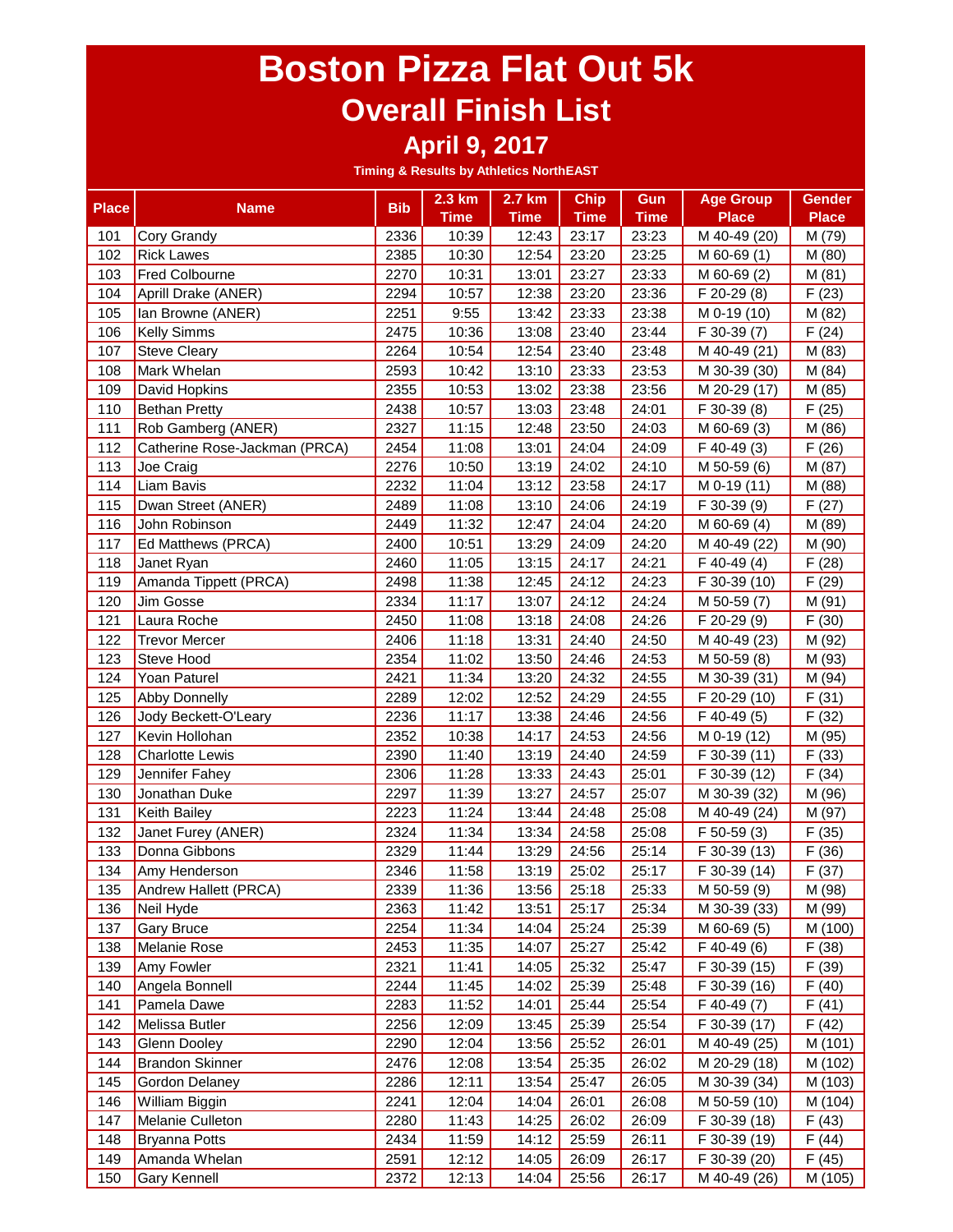#### **April 9, 2017**

| <b>Place</b> | <b>Name</b>                   | <b>Bib</b> | 2.3 km      | 2.7 km      | <b>Chip</b>   | Gun         | <b>Age Group</b> | <b>Gender</b> |
|--------------|-------------------------------|------------|-------------|-------------|---------------|-------------|------------------|---------------|
|              |                               |            | <b>Time</b> | <b>Time</b> | <b>Time</b>   | <b>Time</b> | <b>Place</b>     | <b>Place</b>  |
| 101          | Cory Grandy                   | 2336       | 10:39       | 12:43       | 23:17         | 23:23       | M 40-49 (20)     | M (79)        |
| 102          | <b>Rick Lawes</b>             | 2385       | 10:30       | 12:54       | 23:20         | 23:25       | M 60-69 (1)      | M (80)        |
| 103          | <b>Fred Colbourne</b>         | 2270       | 10:31       | 13:01       | 23:27         | 23:33       | M 60-69 (2)      | M(81)         |
| 104          | Aprill Drake (ANER)           | 2294       | 10:57       | 12:38       | 23:20         | 23:36       | F 20-29 (8)      | F(23)         |
| 105          | Ian Browne (ANER)             | 2251       | 9:55        | 13:42       | 23:33         | 23:38       | M 0-19 (10)      | M (82)        |
| 106          | <b>Kelly Simms</b>            | 2475       | 10:36       | 13:08       | 23:40         | 23:44       | F 30-39 (7)      | F(24)         |
| 107          | <b>Steve Cleary</b>           | 2264       | 10:54       | 12:54       | 23:40         | 23:48       | M 40-49 (21)     | M (83)        |
| 108          | Mark Whelan                   | 2593       | 10:42       | 13:10       | 23:33         | 23:53       | M 30-39 (30)     | M (84)        |
| 109          | David Hopkins                 | 2355       | 10:53       | 13:02       | 23:38         | 23:56       | M 20-29 (17)     | M (85)        |
| 110          | <b>Bethan Pretty</b>          | 2438       | 10:57       | 13:03       | 23:48         | 24:01       | F 30-39 (8)      | F(25)         |
| 111          | Rob Gamberg (ANER)            | 2327       | 11:15       | 12:48       | 23:50         | 24:03       | M 60-69 (3)      | M (86)        |
| 112          | Catherine Rose-Jackman (PRCA) | 2454       | 11:08       | 13:01       | 24:04         | 24:09       | F 40-49 (3)      | F(26)         |
| 113          | Joe Craig                     | 2276       | 10:50       | 13:19       | 24:02         | 24:10       | M 50-59 (6)      | M (87)        |
| 114          | Liam Bavis                    | 2232       | 11:04       | 13:12       | 23:58         | 24:17       | M 0-19 (11)      | M (88)        |
| 115          | Dwan Street (ANER)            | 2489       | 11:08       | 13:10       | 24:06         | 24:19       | F 30-39 (9)      | F(27)         |
| 116          | John Robinson                 | 2449       | 11:32       | 12:47       | 24:04         | 24:20       | M 60-69 (4)      | M (89)        |
| 117          | Ed Matthews (PRCA)            | 2400       | 10:51       | 13:29       | 24:09         | 24:20       | M 40-49 (22)     | M (90)        |
| 118          | Janet Ryan                    | 2460       | 11:05       | 13:15       | 24:17         | 24:21       | $F$ 40-49 $(4)$  | F(28)         |
| 119          | Amanda Tippett (PRCA)         | 2498       | 11:38       | 12:45       | 24:12         | 24:23       | F 30-39 (10)     | F(29)         |
| 120          | Jim Gosse                     | 2334       | 11:17       | 13:07       | 24:12         | 24:24       | M 50-59 (7)      | M (91)        |
| 121          | Laura Roche                   | 2450       | 11:08       | 13:18       | 24:08         | 24:26       | F 20-29 (9)      | F(30)         |
| 122          | <b>Trevor Mercer</b>          | 2406       | 11:18       | 13:31       | 24:40         | 24:50       | M 40-49 (23)     | M (92)        |
| 123          | <b>Steve Hood</b>             | 2354       | 11:02       | 13:50       | 24:46         | 24:53       | M 50-59 (8)      | M (93)        |
| 124          | Yoan Paturel                  | 2421       | 11:34       | 13:20       | 24:32         | 24:55       | M 30-39 (31)     | M (94)        |
| 125          | <b>Abby Donnelly</b>          | 2289       | 12:02       | 12:52       | 24:29         | 24:55       | F 20-29 (10)     | F(31)         |
| 126          | Jody Beckett-O'Leary          | 2236       | 11:17       | 13:38       | 24:46         | 24:56       | $F$ 40-49 $(5)$  | F(32)         |
| 127          | Kevin Hollohan                | 2352       | 10:38       | 14:17       | 24:53         | 24:56       | M 0-19 (12)      | M (95)        |
| 128          | <b>Charlotte Lewis</b>        | 2390       | 11:40       | 13:19       | 24:40         | 24:59       | F 30-39 (11)     | F(33)         |
| 129          | Jennifer Fahey                | 2306       | 11:28       | 13:33       | 24:43         | 25:01       | F 30-39 (12)     | F(34)         |
| 130          | Jonathan Duke                 | 2297       | 11:39       | 13:27       | 24:57         | 25:07       | M 30-39 (32)     | M (96)        |
| 131          | Keith Bailey                  | 2223       | 11:24       | 13:44       | 24:48         | 25:08       | M 40-49 (24)     | M (97)        |
| 132          | Janet Furey (ANER)            | 2324       | 11:34       | 13:34       | 24:58         | 25:08       | F 50-59 (3)      | F(35)         |
| 133          | Donna Gibbons                 | 2329       | 11:44       | 13:29       | 24:56         | 25:14       | F 30-39 (13)     | F(36)         |
| 134          | Amy Henderson                 | 2346       | 11:58       | 13:19       | 25:02         | 25:17       | F 30-39 (14)     | F(37)         |
| 135          | Andrew Hallett (PRCA)         | 2339       | 11:36       |             | $13:56$ 25:18 | 25:33       | M 50-59 (9)      | M (98)        |
| 136          | Neil Hyde                     | 2363       | 11:42       | 13:51       | 25:17         | 25:34       | M 30-39 (33)     | M (99)        |
| 137          | <b>Gary Bruce</b>             | 2254       | 11:34       | 14:04       | 25:24         | 25:39       | M 60-69 (5)      | M (100)       |
| 138          | Melanie Rose                  | 2453       | 11:35       | 14:07       | 25:27         | 25:42       | F 40-49 (6)      | F(38)         |
| 139          | Amy Fowler                    | 2321       | 11:41       | 14:05       | 25:32         | 25:47       | F 30-39 (15)     | F(39)         |
| 140          | Angela Bonnell                | 2244       | 11:45       | 14:02       | 25:39         | 25:48       | F 30-39 (16)     | F(40)         |
| 141          | Pamela Dawe                   | 2283       | 11:52       | 14:01       | 25:44         | 25:54       | F 40-49 (7)      | F(41)         |
| 142          | Melissa Butler                | 2256       | 12:09       | 13:45       | 25:39         | 25:54       | F 30-39 (17)     | F(42)         |
| 143          | <b>Glenn Dooley</b>           | 2290       | 12:04       | 13:56       | 25:52         | 26:01       | M 40-49 (25)     | M (101)       |
| 144          | <b>Brandon Skinner</b>        | 2476       | 12:08       | 13:54       | 25:35         | 26:02       | M 20-29 (18)     | M (102)       |
| 145          | Gordon Delaney                | 2286       | 12:11       | 13:54       | 25:47         | 26:05       | M 30-39 (34)     | M (103)       |
| 146          | William Biggin                | 2241       | 12:04       | 14:04       | 26:01         | 26:08       | M 50-59 (10)     | M (104)       |
| 147          | Melanie Culleton              | 2280       | 11:43       | 14:25       | 26:02         | 26:09       | F 30-39 (18)     | F(43)         |
| 148          | <b>Bryanna Potts</b>          | 2434       | 11:59       | 14:12       | 25:59         | 26:11       | F 30-39 (19)     | F(44)         |
| 149          | Amanda Whelan                 | 2591       | 12:12       | 14:05       | 26:09         | 26:17       | F 30-39 (20)     | F(45)         |
| 150          | Gary Kennell                  | 2372       | 12:13       | 14:04       | 25:56         | 26:17       | M 40-49 (26)     | M (105)       |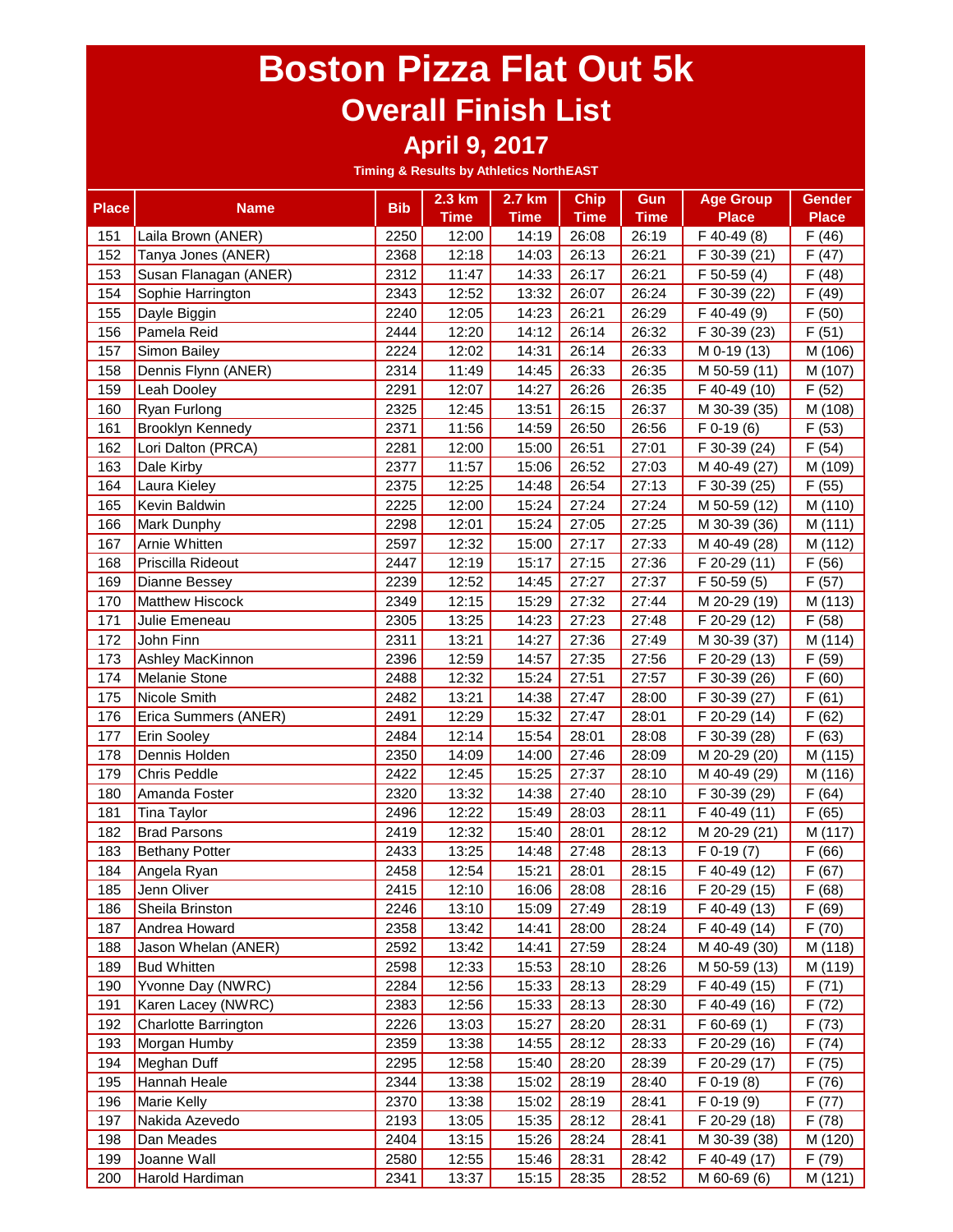#### **April 9, 2017**

|              |                         | <b>Bib</b> | 2.3 km      | 2.7 km      | <b>Chip</b> | Gun         | <b>Age Group</b> | <b>Gender</b> |
|--------------|-------------------------|------------|-------------|-------------|-------------|-------------|------------------|---------------|
| <b>Place</b> | <b>Name</b>             |            | <b>Time</b> | <b>Time</b> | <b>Time</b> | <b>Time</b> | <b>Place</b>     | <b>Place</b>  |
| 151          | Laila Brown (ANER)      | 2250       | 12:00       | 14:19       | 26:08       | 26:19       | F 40-49 (8)      | F(46)         |
| 152          | Tanya Jones (ANER)      | 2368       | 12:18       | 14:03       | 26:13       | 26:21       | F 30-39 (21)     | F(47)         |
| 153          | Susan Flanagan (ANER)   | 2312       | 11:47       | 14:33       | 26:17       | 26:21       | F 50-59 (4)      | F(48)         |
| 154          | Sophie Harrington       | 2343       | 12:52       | 13:32       | 26:07       | 26:24       | F 30-39 (22)     | F(49)         |
| 155          | Dayle Biggin            | 2240       | 12:05       | 14:23       | 26:21       | 26:29       | F 40-49 (9)      | F(50)         |
| 156          | Pamela Reid             | 2444       | 12:20       | 14:12       | 26:14       | 26:32       | F 30-39 (23)     | F(51)         |
| 157          | Simon Bailey            | 2224       | 12:02       | 14:31       | 26:14       | 26:33       | M 0-19 (13)      | M (106)       |
| 158          | Dennis Flynn (ANER)     | 2314       | 11:49       | 14:45       | 26:33       | 26:35       | M 50-59 (11)     | M (107)       |
| 159          | Leah Dooley             | 2291       | 12:07       | 14:27       | 26:26       | 26:35       | F 40-49 (10)     | F(52)         |
| 160          | Ryan Furlong            | 2325       | 12:45       | 13:51       | 26:15       | 26:37       | M 30-39 (35)     | M (108)       |
| 161          | <b>Brooklyn Kennedy</b> | 2371       | 11:56       | 14:59       | 26:50       | 26:56       | $F$ 0-19 $(6)$   | F(53)         |
| 162          | Lori Dalton (PRCA)      | 2281       | 12:00       | 15:00       | 26:51       | 27:01       | F 30-39 (24)     | F(54)         |
| 163          | Dale Kirby              | 2377       | 11:57       | 15:06       | 26:52       | 27:03       | M 40-49 (27)     | M (109)       |
| 164          | Laura Kieley            | 2375       | 12:25       | 14:48       | 26:54       | 27:13       | F 30-39 (25)     | F(55)         |
| 165          | Kevin Baldwin           | 2225       | 12:00       | 15:24       | 27:24       | 27:24       | M 50-59 (12)     | M (110)       |
| 166          | Mark Dunphy             | 2298       | 12:01       | 15:24       | 27:05       | 27:25       | M 30-39 (36)     | M (111)       |
| 167          | Arnie Whitten           | 2597       | 12:32       | 15:00       | 27:17       | 27:33       | M 40-49 (28)     | M (112)       |
| 168          | Priscilla Rideout       | 2447       | 12:19       | 15:17       | 27:15       | 27:36       | F 20-29 (11)     | F(56)         |
| 169          | <b>Dianne Bessey</b>    | 2239       | 12:52       | 14:45       | 27:27       | 27:37       | F 50-59 (5)      | F(57)         |
| 170          | <b>Matthew Hiscock</b>  | 2349       | 12:15       | 15:29       | 27:32       | 27:44       | M 20-29 (19)     | M (113)       |
| 171          | Julie Emeneau           | 2305       | 13:25       | 14:23       | 27:23       | 27:48       | F 20-29 (12)     | F(58)         |
| 172          | John Finn               | 2311       | 13:21       | 14:27       | 27:36       | 27:49       | M 30-39 (37)     | M (114)       |
| 173          | Ashley MacKinnon        | 2396       | 12:59       | 14:57       | 27:35       | 27:56       | F 20-29 (13)     | F(59)         |
| 174          | <b>Melanie Stone</b>    | 2488       | 12:32       | 15:24       | 27:51       | 27:57       | F 30-39 (26)     | F(60)         |
| 175          | Nicole Smith            | 2482       | 13:21       | 14:38       | 27:47       | 28:00       | F 30-39 (27)     | F(61)         |
| 176          | Erica Summers (ANER)    | 2491       | 12:29       | 15:32       | 27:47       | 28:01       | F 20-29 (14)     | F(62)         |
| 177          | Erin Sooley             | 2484       | 12:14       | 15:54       | 28:01       | 28:08       | F 30-39 (28)     | F(63)         |
| 178          | Dennis Holden           | 2350       | 14:09       | 14:00       | 27:46       | 28:09       | M 20-29 (20)     | M (115)       |
| 179          | <b>Chris Peddle</b>     | 2422       | 12:45       | 15:25       | 27:37       | 28:10       | M 40-49 (29)     | M (116)       |
| 180          | Amanda Foster           | 2320       | 13:32       | 14:38       | 27:40       | 28:10       | F 30-39 (29)     | F(64)         |
| 181          | <b>Tina Taylor</b>      | 2496       | 12:22       | 15:49       | 28:03       | 28:11       | F 40-49 (11)     | F(65)         |
| 182          | <b>Brad Parsons</b>     | 2419       | 12:32       | 15:40       | 28:01       | 28:12       | M 20-29 (21)     | M (117)       |
| 183          | <b>Bethany Potter</b>   | 2433       | 13:25       | 14:48       | 27:48       | 28:13       | $F$ 0-19 $(7)$   | F(66)         |
| 184          | Angela Ryan             | 2458       | 12:54       | 15:21       | 28:01       | 28:15       | F 40-49 (12)     | F(67)         |
| 185          | Jenn Oliver             | 2415       | 12:10       | 16:06       | 28:08       | 28:16       | $F 20-29(15)$    | F(68)         |
| 186          | Sheila Brinston         | 2246       | 13:10       | 15:09       | 27:49       | 28:19       | F 40-49 (13)     | F(69)         |
| 187          | Andrea Howard           | 2358       | 13:42       | 14:41       | 28:00       | 28:24       | F 40-49 (14)     | F(70)         |
| 188          | Jason Whelan (ANER)     | 2592       | 13:42       | 14:41       | 27:59       | 28:24       | M 40-49 (30)     | M (118)       |
| 189          | <b>Bud Whitten</b>      | 2598       | 12:33       | 15:53       | 28:10       | 28:26       | M 50-59 (13)     | M (119)       |
| 190          | Yvonne Day (NWRC)       | 2284       | 12:56       | 15:33       | 28:13       | 28:29       | F 40-49 (15)     | F(71)         |
| 191          | Karen Lacey (NWRC)      | 2383       | 12:56       | 15:33       | 28:13       | 28:30       | F 40-49 (16)     | F(72)         |
| 192          | Charlotte Barrington    | 2226       | 13:03       | 15:27       | 28:20       | 28:31       | $F$ 60-69 $(1)$  | F(73)         |
| 193          | Morgan Humby            | 2359       | 13:38       | 14:55       | 28:12       | 28:33       | F 20-29 (16)     | F(74)         |
| 194          | Meghan Duff             | 2295       | 12:58       | 15:40       | 28:20       | 28:39       | F 20-29 (17)     | F(75)         |
| 195          | Hannah Heale            | 2344       | 13:38       | 15:02       | 28:19       | 28:40       | $F$ 0-19 $(8)$   | F(76)         |
| 196          | Marie Kelly             | 2370       | 13:38       | 15:02       | 28:19       | 28:41       | $F 0-19(9)$      | F(77)         |
| 197          | Nakida Azevedo          | 2193       | 13:05       | 15:35       | 28:12       | 28:41       | F 20-29 (18)     | F(78)         |
| 198          | Dan Meades              | 2404       | 13:15       | 15:26       | 28:24       | 28:41       | M 30-39 (38)     | M (120)       |
| 199          | Joanne Wall             | 2580       | 12:55       | 15:46       | 28:31       | 28:42       | F 40-49 (17)     | F(79)         |
| 200          | Harold Hardiman         | 2341       | 13:37       | 15:15       | 28:35       | 28:52       | M 60-69 (6)      | M (121)       |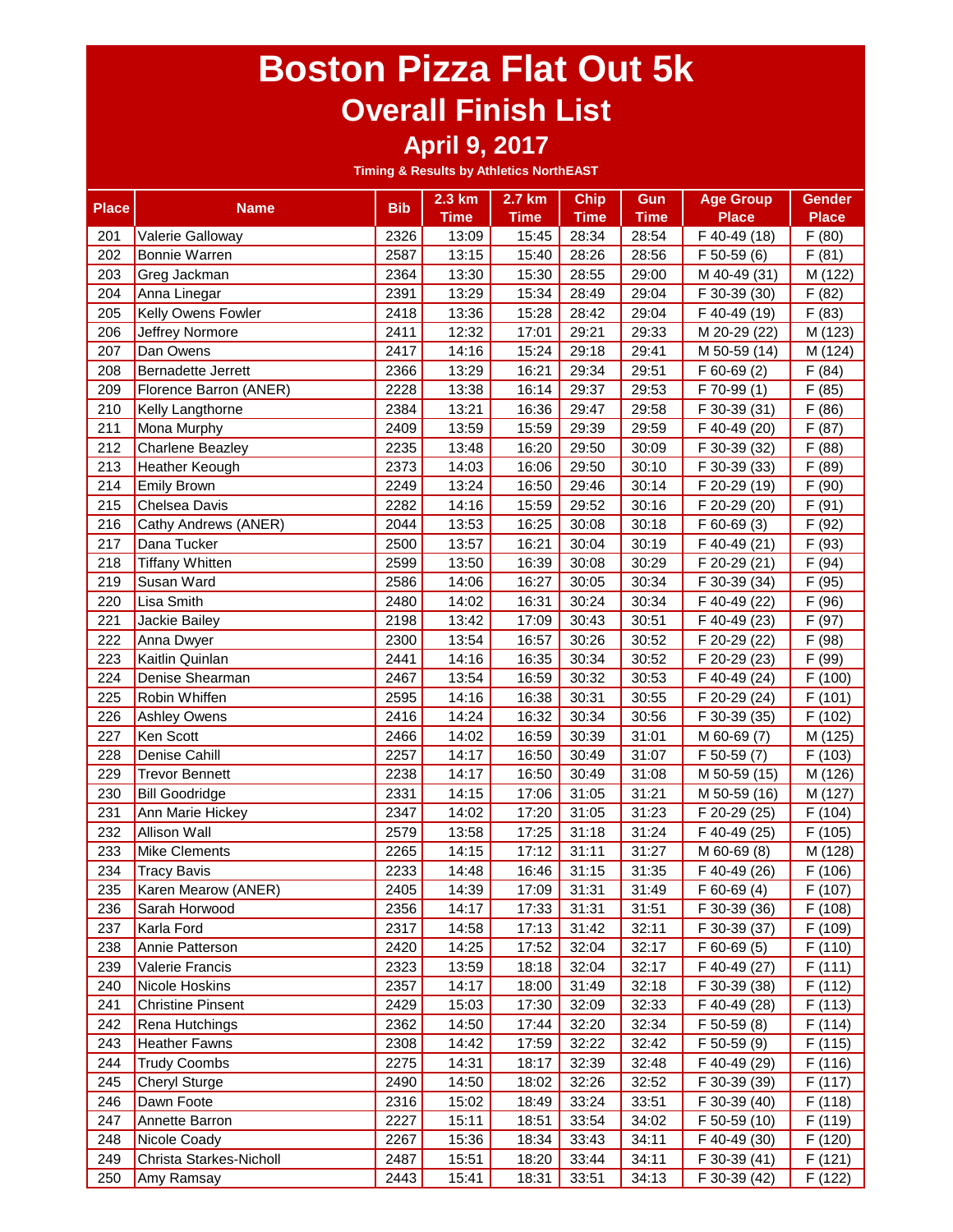#### **April 9, 2017**

| <b>Place</b> | <b>Name</b>              | <b>Bib</b> | 2.3 km      | 2.7 km      | <b>Chip</b> | Gun         | <b>Age Group</b> | <b>Gender</b> |
|--------------|--------------------------|------------|-------------|-------------|-------------|-------------|------------------|---------------|
|              |                          |            | <b>Time</b> | <b>Time</b> | <b>Time</b> | <b>Time</b> | <b>Place</b>     | <b>Place</b>  |
| 201          | Valerie Galloway         | 2326       | 13:09       | 15:45       | 28:34       | 28:54       | F 40-49 (18)     | F(80)         |
| 202          | <b>Bonnie Warren</b>     | 2587       | 13:15       | 15:40       | 28:26       | 28:56       | F 50-59 (6)      | F(81)         |
| 203          | Greg Jackman             | 2364       | 13:30       | 15:30       | 28:55       | 29:00       | M 40-49 (31)     | M (122)       |
| 204          | Anna Linegar             | 2391       | 13:29       | 15:34       | 28:49       | 29:04       | F 30-39 (30)     | F(82)         |
| 205          | Kelly Owens Fowler       | 2418       | 13:36       | 15:28       | 28:42       | 29:04       | F 40-49 (19)     | F(83)         |
| 206          | Jeffrey Normore          | 2411       | 12:32       | 17:01       | 29:21       | 29:33       | M 20-29 (22)     | M (123)       |
| 207          | Dan Owens                | 2417       | 14:16       | 15:24       | 29:18       | 29:41       | M 50-59 (14)     | M (124)       |
| 208          | Bernadette Jerrett       | 2366       | 13:29       | 16:21       | 29:34       | 29:51       | F 60-69 (2)      | F(84)         |
| 209          | Florence Barron (ANER)   | 2228       | 13:38       | 16:14       | 29:37       | 29:53       | F 70-99 (1)      | F(85)         |
| 210          | Kelly Langthorne         | 2384       | 13:21       | 16:36       | 29:47       | 29:58       | F 30-39 (31)     | F(86)         |
| 211          | Mona Murphy              | 2409       | 13:59       | 15:59       | 29:39       | 29:59       | F 40-49 (20)     | F(87)         |
| 212          | <b>Charlene Beazley</b>  | 2235       | 13:48       | 16:20       | 29:50       | 30:09       | F 30-39 (32)     | F(88)         |
| 213          | Heather Keough           | 2373       | 14:03       | 16:06       | 29:50       | 30:10       | F 30-39 (33)     | F (89)        |
| 214          | <b>Emily Brown</b>       | 2249       | 13:24       | 16:50       | 29:46       | 30:14       | F 20-29 (19)     | F (90)        |
| 215          | Chelsea Davis            | 2282       | 14:16       | 15:59       | 29:52       | 30:16       | F 20-29 (20)     | F(91)         |
| 216          | Cathy Andrews (ANER)     | 2044       | 13:53       | 16:25       | 30:08       | 30:18       | $F$ 60-69 $(3)$  | F (92)        |
| 217          | Dana Tucker              | 2500       | 13:57       | 16:21       | 30:04       | 30:19       | F 40-49 (21)     | F (93)        |
| 218          | <b>Tiffany Whitten</b>   | 2599       | 13:50       | 16:39       | 30:08       | 30:29       | F 20-29 (21)     | F(94)         |
| 219          | Susan Ward               | 2586       | 14:06       | 16:27       | 30:05       | 30:34       | F 30-39 (34)     | F (95)        |
| 220          | Lisa Smith               | 2480       | 14:02       | 16:31       | 30:24       | 30:34       | F 40-49 (22)     | F (96)        |
| 221          | Jackie Bailey            | 2198       | 13:42       | 17:09       | 30:43       | 30:51       | F 40-49 (23)     | (97)<br>F     |
| 222          | Anna Dwyer               | 2300       | 13:54       | 16:57       | 30:26       | 30:52       | F 20-29 (22)     | F(98)         |
| 223          | Kaitlin Quinlan          | 2441       | 14:16       | 16:35       | 30:34       | 30:52       | F 20-29 (23)     | F (99)        |
| 224          | Denise Shearman          | 2467       | 13:54       | 16:59       | 30:32       | 30:53       | F 40-49 (24)     | F(100)        |
| 225          | Robin Whiffen            | 2595       | 14:16       | 16:38       | 30:31       | 30:55       | F 20-29 (24)     | F(101)        |
| 226          | <b>Ashley Owens</b>      | 2416       | 14:24       | 16:32       | 30:34       | 30:56       | F 30-39 (35)     | F(102)        |
| 227          | Ken Scott                | 2466       | 14:02       | 16:59       | 30:39       | 31:01       | M 60-69 (7)      | M (125)       |
| 228          | Denise Cahill            | 2257       | 14:17       | 16:50       | 30:49       | 31:07       | F 50-59 (7)      | F(103)        |
| 229          | <b>Trevor Bennett</b>    | 2238       | 14:17       | 16:50       | 30:49       | 31:08       | M 50-59 (15)     | M (126)       |
| 230          | <b>Bill Goodridge</b>    | 2331       | 14:15       | 17:06       | 31:05       | 31:21       | M 50-59 (16)     | M (127)       |
| 231          | Ann Marie Hickey         | 2347       | 14:02       | 17:20       | 31:05       | 31:23       | F 20-29 (25)     | F (104)       |
| 232          | <b>Allison Wall</b>      | 2579       | 13:58       | 17:25       | 31:18       | 31:24       | F 40-49 (25)     | F(105)        |
| 233          | Mike Clements            | 2265       | 14:15       | 17:12       | 31:11       | 31:27       | M 60-69 (8)      | M (128)       |
| 234          | <b>Tracy Bavis</b>       | 2233       | 14:48       | 16:46       | 31:15       | 31:35       | F 40-49 (26)     | F(106)        |
| 235          | Karen Mearow (ANER)      | 2405       | 14:39       | 17:09       | 31:31       | 31:49       | F 60-69 (4)      | F (107)       |
| 236          | Sarah Horwood            | 2356       | 14:17       | 17:33       | 31:31       | 31:51       | F 30-39 (36)     | F(108)        |
| 237          | Karla Ford               | 2317       | 14:58       | 17:13       | 31:42       | 32:11       | F 30-39 (37)     | F (109)       |
| 238          | Annie Patterson          | 2420       | 14:25       | 17:52       | 32:04       | 32:17       | $F$ 60-69 $(5)$  | F(110)        |
| 239          | Valerie Francis          | 2323       | 13:59       | 18:18       | 32:04       | 32:17       | F 40-49 (27)     | F(111)        |
| 240          | Nicole Hoskins           | 2357       | 14:17       | 18:00       | 31:49       | 32:18       | F 30-39 (38)     | F(112)        |
| 241          | <b>Christine Pinsent</b> | 2429       | 15:03       | 17:30       | 32:09       | 32:33       | F 40-49 (28)     | F(113)        |
| 242          | Rena Hutchings           | 2362       | 14:50       | 17:44       | 32:20       | 32:34       | F 50-59 (8)      | F(114)        |
| 243          | <b>Heather Fawns</b>     | 2308       | 14:42       | 17:59       | 32:22       | 32:42       | F 50-59 (9)      | F(115)        |
| 244          | <b>Trudy Coombs</b>      | 2275       | 14:31       | 18:17       | 32:39       | 32:48       | F 40-49 (29)     | F(116)        |
| 245          | <b>Cheryl Sturge</b>     | 2490       | 14:50       | 18:02       | 32:26       | 32:52       | F 30-39 (39)     | F(117)        |
| 246          | Dawn Foote               | 2316       | 15:02       | 18:49       | 33:24       | 33:51       | F 30-39 (40)     | F(118)        |
| 247          | Annette Barron           | 2227       | 15:11       | 18:51       | 33:54       | 34:02       | F 50-59 (10)     | F (119)       |
| 248          | Nicole Coady             | 2267       | 15:36       | 18:34       | 33:43       | 34:11       | F 40-49 (30)     | F(120)        |
| 249          | Christa Starkes-Nicholl  | 2487       | 15:51       | 18:20       | 33:44       | 34:11       | F 30-39 (41)     | F(121)        |
| 250          | Amy Ramsay               | 2443       | 15:41       | 18:31       | 33:51       | 34:13       | F 30-39 (42)     | F (122)       |